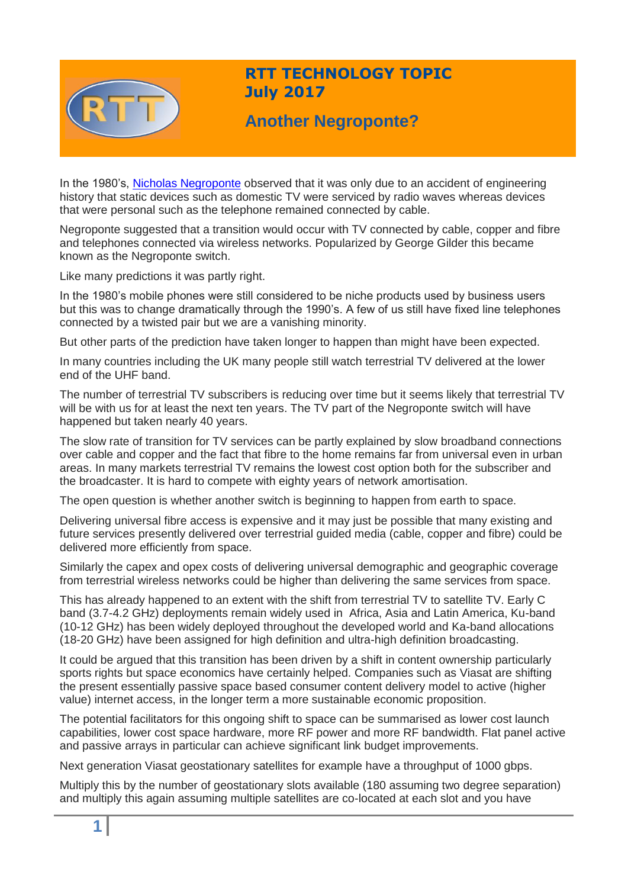

## **RTT TECHNOLOGY TOPIC July 2017**

# **Another Negroponte?**

In the 1980's, [Nicholas Negroponte](http://web.media.mit.edu/~nicholas/Wired/WIRED5-08.html) observed that it was only due to an accident of engineering history that static devices such as domestic TV were serviced by radio waves whereas devices that were personal such as the telephone remained connected by cable.

Negroponte suggested that a transition would occur with TV connected by cable, copper and fibre and telephones connected via wireless networks. Popularized by George Gilder this became known as the Negroponte switch.

Like many predictions it was partly right.

In the 1980's mobile phones were still considered to be niche products used by business users but this was to change dramatically through the 1990's. A few of us still have fixed line telephones connected by a twisted pair but we are a vanishing minority.

But other parts of the prediction have taken longer to happen than might have been expected.

In many countries including the UK many people still watch terrestrial TV delivered at the lower end of the UHF band.

The number of terrestrial TV subscribers is reducing over time but it seems likely that terrestrial TV will be with us for at least the next ten years. The TV part of the Negroponte switch will have happened but taken nearly 40 years.

The slow rate of transition for TV services can be partly explained by slow broadband connections over cable and copper and the fact that fibre to the home remains far from universal even in urban areas. In many markets terrestrial TV remains the lowest cost option both for the subscriber and the broadcaster. It is hard to compete with eighty years of network amortisation.

The open question is whether another switch is beginning to happen from earth to space.

Delivering universal fibre access is expensive and it may just be possible that many existing and future services presently delivered over terrestrial guided media (cable, copper and fibre) could be delivered more efficiently from space.

Similarly the capex and opex costs of delivering universal demographic and geographic coverage from terrestrial wireless networks could be higher than delivering the same services from space.

This has already happened to an extent with the shift from terrestrial TV to satellite TV. Early C band (3.7-4.2 GHz) deployments remain widely used in Africa, Asia and Latin America, Ku-band (10-12 GHz) has been widely deployed throughout the developed world and Ka-band allocations (18-20 GHz) have been assigned for high definition and ultra-high definition broadcasting.

It could be argued that this transition has been driven by a shift in content ownership particularly sports rights but space economics have certainly helped. Companies such as Viasat are shifting the present essentially passive space based consumer content delivery model to active (higher value) internet access, in the longer term a more sustainable economic proposition.

The potential facilitators for this ongoing shift to space can be summarised as lower cost launch capabilities, lower cost space hardware, more RF power and more RF bandwidth. Flat panel active and passive arrays in particular can achieve significant link budget improvements.

Next generation Viasat geostationary satellites for example have a throughput of 1000 gbps.

Multiply this by the number of geostationary slots available (180 assuming two degree separation) and multiply this again assuming multiple satellites are co-located at each slot and you have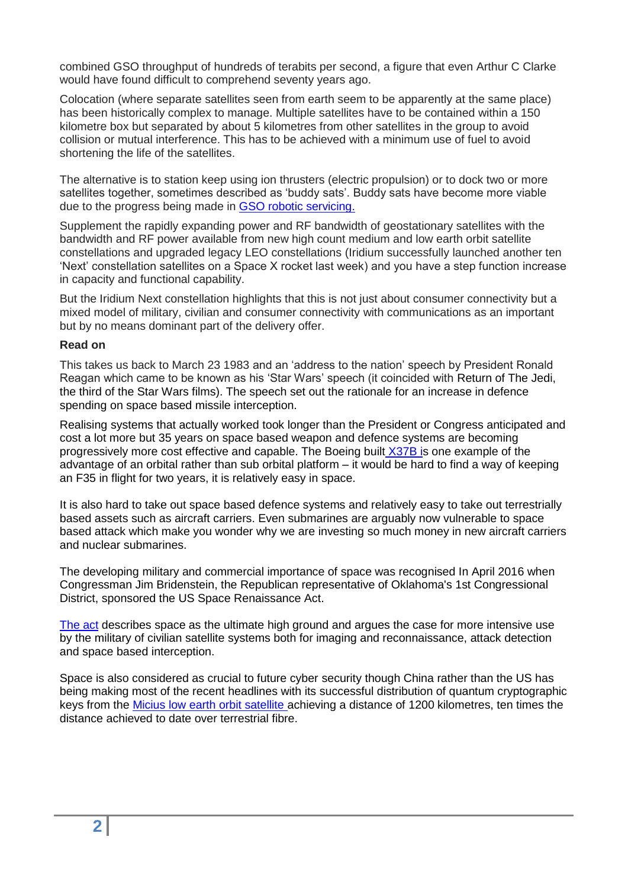combined GSO throughput of hundreds of terabits per second, a figure that even Arthur C Clarke would have found difficult to comprehend seventy years ago.

Colocation (where separate satellites seen from earth seem to be apparently at the same place) has been historically complex to manage. Multiple satellites have to be contained within a 150 kilometre box but separated by about 5 kilometres from other satellites in the group to avoid collision or mutual interference. This has to be achieved with a minimum use of fuel to avoid shortening the life of the satellites.

The alternative is to station keep using ion thrusters (electric propulsion) or to dock two or more satellites together, sometimes described as 'buddy sats'. Buddy sats have become more viable due to the progress being made in [GSO robotic servicing.](http://www.darpa.mil/program/robotic-servicing-of-geosynchronous-satellites)

Supplement the rapidly expanding power and RF bandwidth of geostationary satellites with the bandwidth and RF power available from new high count medium and low earth orbit satellite constellations and upgraded legacy LEO constellations (Iridium successfully launched another ten 'Next' constellation satellites on a Space X rocket last week) and you have a step function increase in capacity and functional capability.

But the Iridium Next constellation highlights that this is not just about consumer connectivity but a mixed model of military, civilian and consumer connectivity with communications as an important but by no means dominant part of the delivery offer.

#### **Read on**

This takes us back to March 23 1983 and an 'address to the nation' speech by President Ronald Reagan which came to be known as his 'Star Wars' speech (it coincided with Return of The Jedi, the third of the Star Wars films). The speech set out the rationale for an increase in defence spending on space based missile interception.

Realising systems that actually worked took longer than the President or Congress anticipated and cost a lot more but 35 years on space based weapon and defence systems are becoming progressively more cost effective and capable. The Boeing built [X37B is](https://www.space.com/25275-x37b-space-plane.html) one example of the advantage of an orbital rather than sub orbital platform – it would be hard to find a way of keeping an F35 in flight for two years, it is relatively easy in space.

It is also hard to take out space based defence systems and relatively easy to take out terrestrially based assets such as aircraft carriers. Even submarines are arguably now vulnerable to space based attack which make you wonder why we are investing so much money in new aircraft carriers and nuclear submarines.

The developing military and commercial importance of space was recognised In April 2016 when Congressman Jim Bridenstein, the Republican representative of Oklahoma's 1st Congressional District, sponsored the US Space Renaissance Act.

[The act](http://spacerenaissanceact.com/satellite-industry/) describes space as the ultimate high ground and argues the case for more intensive use by the military of civilian satellite systems both for imaging and reconnaissance, attack detection and space based interception.

Space is also considered as crucial to future cyber security though China rather than the US has being making most of the recent headlines with its successful distribution of quantum cryptographic keys from the Micius [low earth orbit satellite a](http://www.sciencemag.org/news/2017/06/china-s-quantum-satellite-achieves-spooky-action-record-distance)chieving a distance of 1200 kilometres, ten times the distance achieved to date over terrestrial fibre.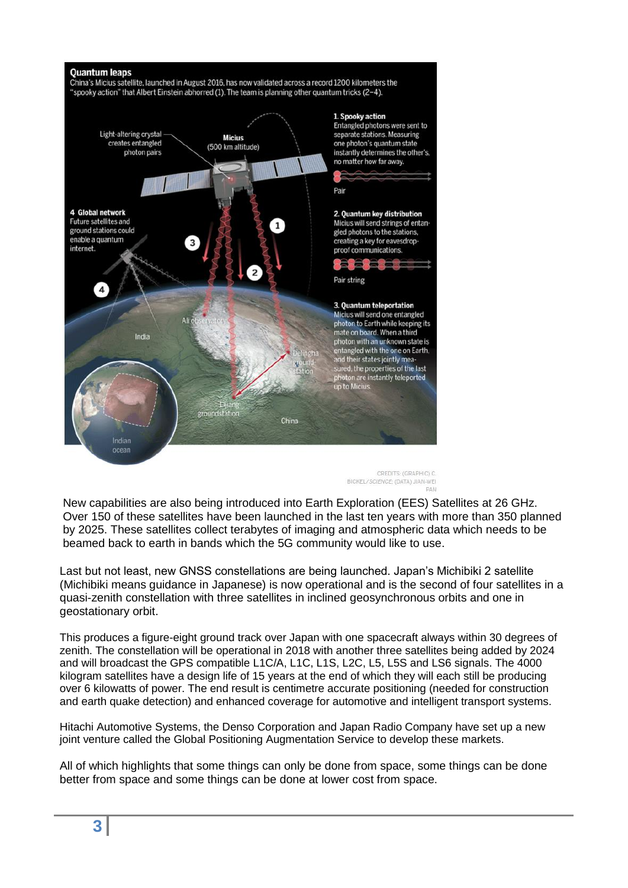

CREDITS: (GRAPHIC) C BICKEL/SCIENCE: (DATA) JIAN-WEL

New capabilities are also being introduced into Earth Exploration (EES) Satellites at 26 GHz. Over 150 of these satellites have been launched in the last ten years with more than 350 planned by 2025. These satellites collect terabytes of imaging and atmospheric data which needs to be beamed back to earth in bands which the 5G community would like to use.

Last but not least, new GNSS constellations are being launched. Japan's Michibiki 2 satellite (Michibiki means guidance in Japanese) is now operational and is the second of four satellites in a quasi-zenith constellation with three satellites in inclined geosynchronous orbits and one in geostationary orbit.

This produces a figure-eight ground track over Japan with one spacecraft always within 30 degrees of zenith. The constellation will be operational in 2018 with another three satellites being added by 2024 and will broadcast the GPS compatible L1C/A, L1C, L1S, L2C, L5, L5S and LS6 signals. The 4000 kilogram satellites have a design life of 15 years at the end of which they will each still be producing over 6 kilowatts of power. The end result is centimetre accurate positioning (needed for construction and earth quake detection) and enhanced coverage for automotive and intelligent transport systems.

Hitachi Automotive Systems, the Denso Corporation and Japan Radio Company have set up a new joint venture called the Global Positioning Augmentation Service to develop these markets.

All of which highlights that some things can only be done from space, some things can be done better from space and some things can be done at lower cost from space.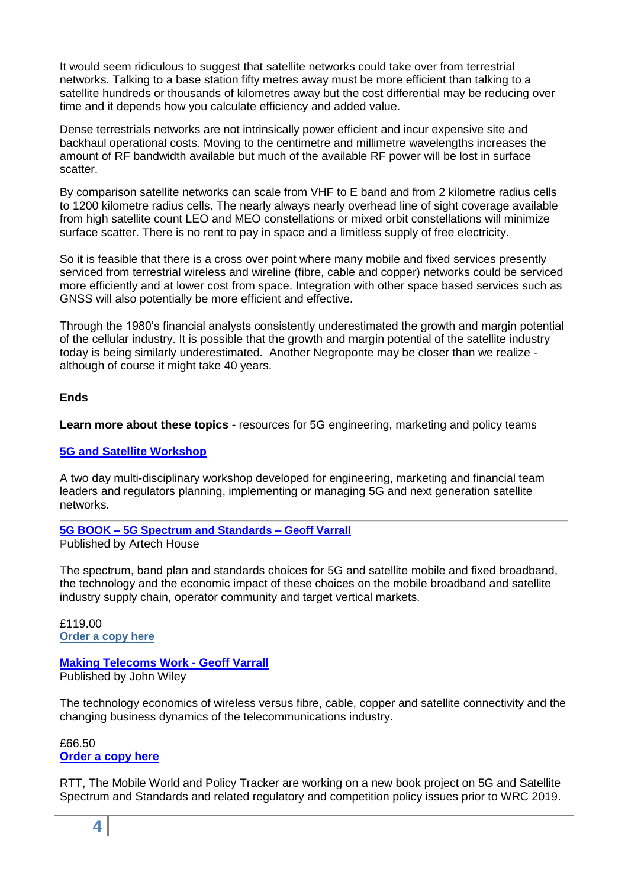It would seem ridiculous to suggest that satellite networks could take over from terrestrial networks. Talking to a base station fifty metres away must be more efficient than talking to a satellite hundreds or thousands of kilometres away but the cost differential may be reducing over time and it depends how you calculate efficiency and added value.

Dense terrestrials networks are not intrinsically power efficient and incur expensive site and backhaul operational costs. Moving to the centimetre and millimetre wavelengths increases the amount of RF bandwidth available but much of the available RF power will be lost in surface scatter.

By comparison satellite networks can scale from VHF to E band and from 2 kilometre radius cells to 1200 kilometre radius cells. The nearly always nearly overhead line of sight coverage available from high satellite count LEO and MEO constellations or mixed orbit constellations will minimize surface scatter. There is no rent to pay in space and a limitless supply of free electricity.

So it is feasible that there is a cross over point where many mobile and fixed services presently serviced from terrestrial wireless and wireline (fibre, cable and copper) networks could be serviced more efficiently and at lower cost from space. Integration with other space based services such as GNSS will also potentially be more efficient and effective.

Through the 1980's financial analysts consistently underestimated the growth and margin potential of the cellular industry. It is possible that the growth and margin potential of the satellite industry today is being similarly underestimated. Another Negroponte may be closer than we realize although of course it might take 40 years.

#### **Ends**

**Learn more about these topics -** resources for 5G engineering, marketing and policy teams

#### **[5G and Satellite Workshop](http://www.rttonline.com/5G%20workshop.html)**

A two day multi-disciplinary workshop developed for engineering, marketing and financial team leaders and regulators planning, implementing or managing 5G and next generation satellite networks.

#### **5G BOOK – [5G Spectrum and Standards –](http://uk.artechhouse.com/5G-Spectrum-and-Standards-P1805.aspx) Geoff Varrall**

Published by Artech House

The spectrum, band plan and standards choices for 5G and satellite mobile and fixed broadband, the technology and the economic impact of these choices on the mobile broadband and satellite industry supply chain, operator community and target vertical markets.

£119.00 **[Order a copy here](http://uk.artechhouse.com/5G-Spectrum-and-Standards-P1805.aspx)**

#### **[Making Telecoms Work -](http://eu.wiley.com/WileyCDA/WileyTitle/productCd-1119976413.html) Geoff Varrall** Published by John Wiley

The technology economics of wireless versus fibre, cable, copper and satellite connectivity and the changing business dynamics of the telecommunications industry.

£66.50 **[Order a copy here](http://eu.wiley.com/WileyCDA/WileyTitle/productCd-1119976413.html)**

RTT, The Mobile World and Policy Tracker are working on a new book project on 5G and Satellite Spectrum and Standards and related regulatory and competition policy issues prior to WRC 2019.